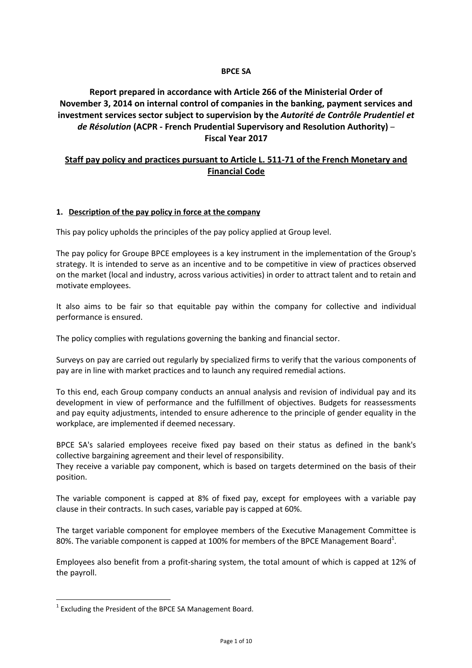### **BPCE SA**

## **Report prepared in accordance with Article 266 of the Ministerial Order of November 3, 2014 on internal control of companies in the banking, payment services and investment services sector subject to supervision by the** *Autorité de Contrôle Prudentiel et de Résolution* **(ACPR - French Prudential Supervisory and Resolution Authority)** – **Fiscal Year 2017**

## **Staff pay policy and practices pursuant to Article L. 511-71 of the French Monetary and Financial Code**

## **1. Description of the pay policy in force at the company**

This pay policy upholds the principles of the pay policy applied at Group level.

The pay policy for Groupe BPCE employees is a key instrument in the implementation of the Group's strategy. It is intended to serve as an incentive and to be competitive in view of practices observed on the market (local and industry, across various activities) in order to attract talent and to retain and motivate employees.

It also aims to be fair so that equitable pay within the company for collective and individual performance is ensured.

The policy complies with regulations governing the banking and financial sector.

Surveys on pay are carried out regularly by specialized firms to verify that the various components of pay are in line with market practices and to launch any required remedial actions.

To this end, each Group company conducts an annual analysis and revision of individual pay and its development in view of performance and the fulfillment of objectives. Budgets for reassessments and pay equity adjustments, intended to ensure adherence to the principle of gender equality in the workplace, are implemented if deemed necessary.

BPCE SA's salaried employees receive fixed pay based on their status as defined in the bank's collective bargaining agreement and their level of responsibility.

They receive a variable pay component, which is based on targets determined on the basis of their position.

The variable component is capped at 8% of fixed pay, except for employees with a variable pay clause in their contracts. In such cases, variable pay is capped at 60%.

The target variable component for employee members of the Executive Management Committee is 80%. The variable component is capped at 100% for members of the BPCE Management Board<sup>1</sup>.

Employees also benefit from a profit-sharing system, the total amount of which is capped at 12% of the payroll.

 $\overline{\phantom{0}}$ 

 $1$  Excluding the President of the BPCE SA Management Board.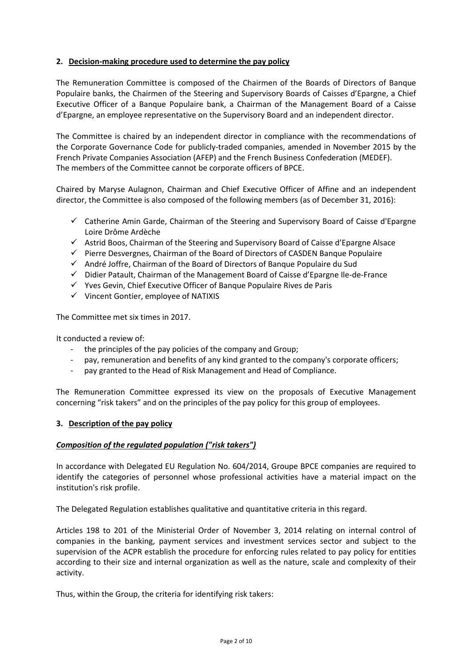## **2. Decision-making procedure used to determine the pay policy**

The Remuneration Committee is composed of the Chairmen of the Boards of Directors of Banque Populaire banks, the Chairmen of the Steering and Supervisory Boards of Caisses d'Epargne, a Chief Executive Officer of a Banque Populaire bank, a Chairman of the Management Board of a Caisse d'Epargne, an employee representative on the Supervisory Board and an independent director.

The Committee is chaired by an independent director in compliance with the recommendations of the Corporate Governance Code for publicly-traded companies, amended in November 2015 by the French Private Companies Association (AFEP) and the French Business Confederation (MEDEF). The members of the Committee cannot be corporate officers of BPCE.

Chaired by Maryse Aulagnon, Chairman and Chief Executive Officer of Affine and an independent director, the Committee is also composed of the following members (as of December 31, 2016):

- $\checkmark$  Catherine Amin Garde, Chairman of the Steering and Supervisory Board of Caisse d'Epargne Loire Drôme Ardèche
- $\checkmark$  Astrid Boos, Chairman of the Steering and Supervisory Board of Caisse d'Epargne Alsace
- $\checkmark$  Pierre Desvergnes, Chairman of the Board of Directors of CASDEN Banque Populaire
- $\checkmark$  André Joffre, Chairman of the Board of Directors of Banque Populaire du Sud
- $\checkmark$  Didier Patault, Chairman of the Management Board of Caisse d'Epargne Ile-de-France
- $\checkmark$  Yves Gevin, Chief Executive Officer of Banque Populaire Rives de Paris
- $\checkmark$  Vincent Gontier, employee of NATIXIS

The Committee met six times in 2017.

It conducted a review of:

- the principles of the pay policies of the company and Group;
- pay, remuneration and benefits of any kind granted to the company's corporate officers;
- pay granted to the Head of Risk Management and Head of Compliance.

The Remuneration Committee expressed its view on the proposals of Executive Management concerning "risk takers" and on the principles of the pay policy for this group of employees.

### **3. Description of the pay policy**

### *Composition of the regulated population ("risk takers")*

In accordance with Delegated EU Regulation No. 604/2014, Groupe BPCE companies are required to identify the categories of personnel whose professional activities have a material impact on the institution's risk profile.

The Delegated Regulation establishes qualitative and quantitative criteria in this regard.

Articles 198 to 201 of the Ministerial Order of November 3, 2014 relating on internal control of companies in the banking, payment services and investment services sector and subject to the supervision of the ACPR establish the procedure for enforcing rules related to pay policy for entities according to their size and internal organization as well as the nature, scale and complexity of their activity.

Thus, within the Group, the criteria for identifying risk takers: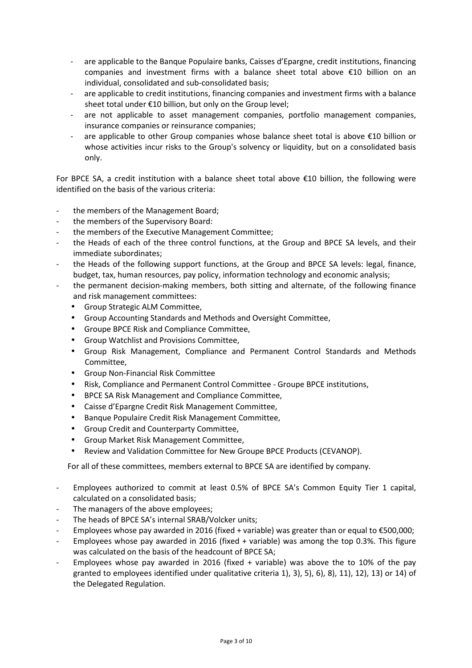- are applicable to the Banque Populaire banks, Caisses d'Epargne, credit institutions, financing companies and investment firms with a balance sheet total above €10 billion on an individual, consolidated and sub-consolidated basis;
- are applicable to credit institutions, financing companies and investment firms with a balance sheet total under €10 billion, but only on the Group level;
- are not applicable to asset management companies, portfolio management companies, insurance companies or reinsurance companies;
- are applicable to other Group companies whose balance sheet total is above €10 billion or whose activities incur risks to the Group's solvency or liquidity, but on a consolidated basis only.

For BPCE SA, a credit institution with a balance sheet total above €10 billion, the following were identified on the basis of the various criteria:

- the members of the Management Board;
- the members of the Supervisory Board:
- the members of the Executive Management Committee;
- the Heads of each of the three control functions, at the Group and BPCE SA levels, and their immediate subordinates;
- the Heads of the following support functions, at the Group and BPCE SA levels: legal, finance, budget, tax, human resources, pay policy, information technology and economic analysis;
- the permanent decision-making members, both sitting and alternate, of the following finance and risk management committees:
	- Group Strategic ALM Committee,
	- Group Accounting Standards and Methods and Oversight Committee,
	- Groupe BPCE Risk and Compliance Committee,
	- Group Watchlist and Provisions Committee,
	- Group Risk Management, Compliance and Permanent Control Standards and Methods Committee,
	- Group Non-Financial Risk Committee
	- Risk, Compliance and Permanent Control Committee Groupe BPCE institutions,
	- BPCE SA Risk Management and Compliance Committee,
	- Caisse d'Epargne Credit Risk Management Committee,
	- Banque Populaire Credit Risk Management Committee,
	- Group Credit and Counterparty Committee,
	- Group Market Risk Management Committee,
	- Review and Validation Committee for New Groupe BPCE Products (CEVANOP).

For all of these committees, members external to BPCE SA are identified by company.

- Employees authorized to commit at least 0.5% of BPCE SA's Common Equity Tier 1 capital, calculated on a consolidated basis;
- The managers of the above employees;
- The heads of BPCE SA's internal SRAB/Volcker units;
- Employees whose pay awarded in 2016 (fixed + variable) was greater than or equal to €500,000;
- Employees whose pay awarded in 2016 (fixed  $+$  variable) was among the top 0.3%. This figure was calculated on the basis of the headcount of BPCE SA;
- Employees whose pay awarded in 2016 (fixed  $+$  variable) was above the to 10% of the pay granted to employees identified under qualitative criteria 1), 3), 5), 6), 8), 11), 12), 13) or 14) of the Delegated Regulation.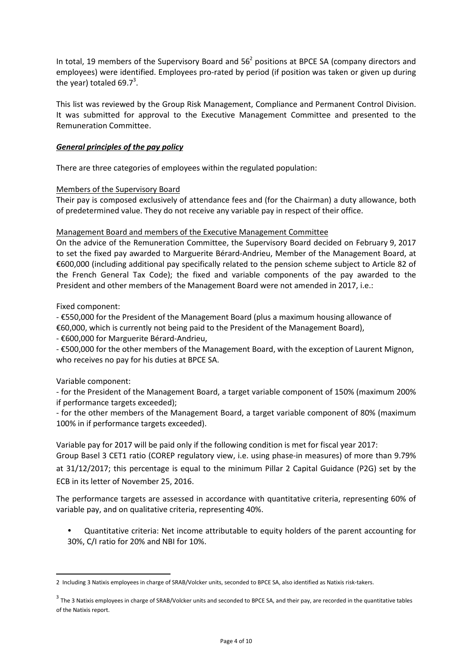In total, 19 members of the Supervisory Board and  $56<sup>2</sup>$  positions at BPCE SA (company directors and employees) were identified. Employees pro-rated by period (if position was taken or given up during the year) totaled 69.7 $^3$ .

This list was reviewed by the Group Risk Management, Compliance and Permanent Control Division. It was submitted for approval to the Executive Management Committee and presented to the Remuneration Committee.

## *General principles of the pay policy*

There are three categories of employees within the regulated population:

### Members of the Supervisory Board

Their pay is composed exclusively of attendance fees and (for the Chairman) a duty allowance, both of predetermined value. They do not receive any variable pay in respect of their office.

### Management Board and members of the Executive Management Committee

On the advice of the Remuneration Committee, the Supervisory Board decided on February 9, 2017 to set the fixed pay awarded to Marguerite Bérard-Andrieu, Member of the Management Board, at €600,000 (including additional pay specifically related to the pension scheme subject to Article 82 of the French General Tax Code); the fixed and variable components of the pay awarded to the President and other members of the Management Board were not amended in 2017, i.e.:

Fixed component:

- €550,000 for the President of the Management Board (plus a maximum housing allowance of €60,000, which is currently not being paid to the President of the Management Board),

- €600,000 for Marguerite Bérard-Andrieu,

- €500,000 for the other members of the Management Board, with the exception of Laurent Mignon, who receives no pay for his duties at BPCE SA.

### Variable component:

l

- for the President of the Management Board, a target variable component of 150% (maximum 200% if performance targets exceeded);

- for the other members of the Management Board, a target variable component of 80% (maximum 100% in if performance targets exceeded).

Variable pay for 2017 will be paid only if the following condition is met for fiscal year 2017:

Group Basel 3 CET1 ratio (COREP regulatory view, i.e. using phase-in measures) of more than 9.79% at 31/12/2017; this percentage is equal to the minimum Pillar 2 Capital Guidance (P2G) set by the ECB in its letter of November 25, 2016.

The performance targets are assessed in accordance with quantitative criteria, representing 60% of variable pay, and on qualitative criteria, representing 40%.

- Quantitative criteria: Net income attributable to equity holders of the parent accounting for 30%, C/I ratio for 20% and NBI for 10%.

<sup>2</sup> Including 3 Natixis employees in charge of SRAB/Volcker units, seconded to BPCE SA, also identified as Natixis risk-takers.

 $^3$  The 3 Natixis employees in charge of SRAB/Volcker units and seconded to BPCE SA, and their pay, are recorded in the quantitative tables of the Natixis report.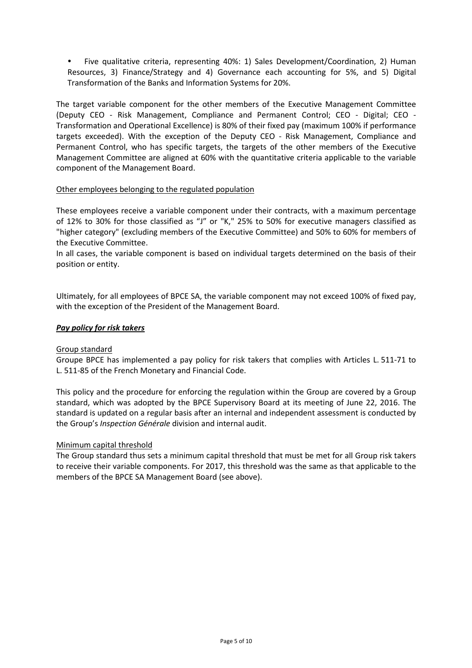- Five qualitative criteria, representing 40%: 1) Sales Development/Coordination, 2) Human Resources, 3) Finance/Strategy and 4) Governance each accounting for 5%, and 5) Digital Transformation of the Banks and Information Systems for 20%.

The target variable component for the other members of the Executive Management Committee (Deputy CEO - Risk Management, Compliance and Permanent Control; CEO - Digital; CEO - Transformation and Operational Excellence) is 80% of their fixed pay (maximum 100% if performance targets exceeded). With the exception of the Deputy CEO - Risk Management, Compliance and Permanent Control, who has specific targets, the targets of the other members of the Executive Management Committee are aligned at 60% with the quantitative criteria applicable to the variable component of the Management Board.

## Other employees belonging to the regulated population

These employees receive a variable component under their contracts, with a maximum percentage of 12% to 30% for those classified as "J" or "K," 25% to 50% for executive managers classified as "higher category" (excluding members of the Executive Committee) and 50% to 60% for members of the Executive Committee.

In all cases, the variable component is based on individual targets determined on the basis of their position or entity.

Ultimately, for all employees of BPCE SA, the variable component may not exceed 100% of fixed pay, with the exception of the President of the Management Board.

## *Pay policy for risk takers*

### Group standard

Groupe BPCE has implemented a pay policy for risk takers that complies with Articles L. 511-71 to L. 511-85 of the French Monetary and Financial Code.

This policy and the procedure for enforcing the regulation within the Group are covered by a Group standard, which was adopted by the BPCE Supervisory Board at its meeting of June 22, 2016. The standard is updated on a regular basis after an internal and independent assessment is conducted by the Group's *Inspection Générale* division and internal audit.

### Minimum capital threshold

The Group standard thus sets a minimum capital threshold that must be met for all Group risk takers to receive their variable components. For 2017, this threshold was the same as that applicable to the members of the BPCE SA Management Board (see above).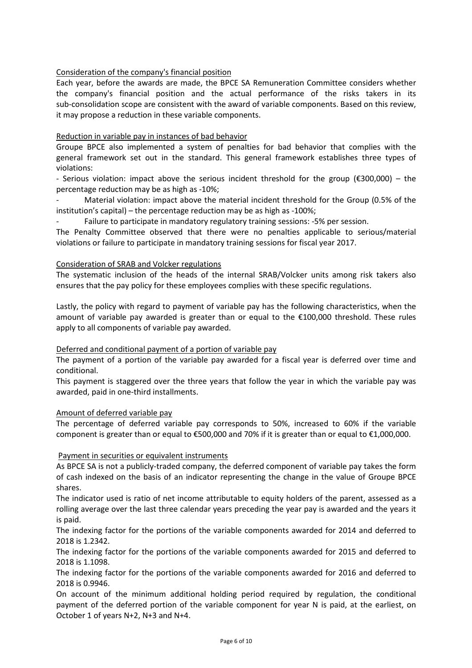## Consideration of the company's financial position

Each year, before the awards are made, the BPCE SA Remuneration Committee considers whether the company's financial position and the actual performance of the risks takers in its sub-consolidation scope are consistent with the award of variable components. Based on this review, it may propose a reduction in these variable components.

### Reduction in variable pay in instances of bad behavior

Groupe BPCE also implemented a system of penalties for bad behavior that complies with the general framework set out in the standard. This general framework establishes three types of violations:

- Serious violation: impact above the serious incident threshold for the group (€300,000) – the percentage reduction may be as high as -10%;

Material violation: impact above the material incident threshold for the Group (0.5% of the institution's capital) – the percentage reduction may be as high as -100%;

Failure to participate in mandatory regulatory training sessions: -5% per session.

The Penalty Committee observed that there were no penalties applicable to serious/material violations or failure to participate in mandatory training sessions for fiscal year 2017.

### Consideration of SRAB and Volcker regulations

The systematic inclusion of the heads of the internal SRAB/Volcker units among risk takers also ensures that the pay policy for these employees complies with these specific regulations.

Lastly, the policy with regard to payment of variable pay has the following characteristics, when the amount of variable pay awarded is greater than or equal to the €100,000 threshold. These rules apply to all components of variable pay awarded.

### Deferred and conditional payment of a portion of variable pay

The payment of a portion of the variable pay awarded for a fiscal year is deferred over time and conditional.

This payment is staggered over the three years that follow the year in which the variable pay was awarded, paid in one-third installments.

### Amount of deferred variable pay

The percentage of deferred variable pay corresponds to 50%, increased to 60% if the variable component is greater than or equal to €500,000 and 70% if it is greater than or equal to €1,000,000.

### Payment in securities or equivalent instruments

As BPCE SA is not a publicly-traded company, the deferred component of variable pay takes the form of cash indexed on the basis of an indicator representing the change in the value of Groupe BPCE shares.

The indicator used is ratio of net income attributable to equity holders of the parent, assessed as a rolling average over the last three calendar years preceding the year pay is awarded and the years it is paid.

The indexing factor for the portions of the variable components awarded for 2014 and deferred to 2018 is 1.2342.

The indexing factor for the portions of the variable components awarded for 2015 and deferred to 2018 is 1.1098.

The indexing factor for the portions of the variable components awarded for 2016 and deferred to 2018 is 0.9946.

On account of the minimum additional holding period required by regulation, the conditional payment of the deferred portion of the variable component for year N is paid, at the earliest, on October 1 of years N+2, N+3 and N+4.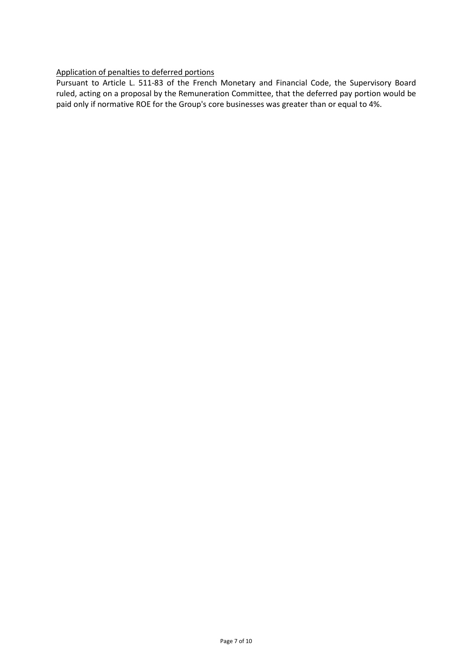## Application of penalties to deferred portions

Pursuant to Article L. 511-83 of the French Monetary and Financial Code, the Supervisory Board ruled, acting on a proposal by the Remuneration Committee, that the deferred pay portion would be paid only if normative ROE for the Group's core businesses was greater than or equal to 4%.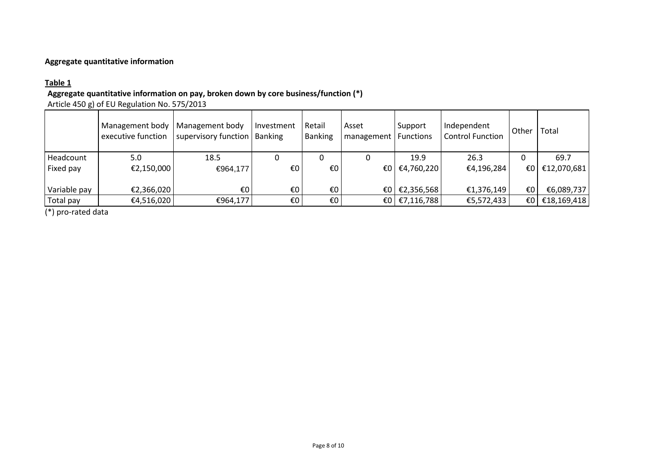## **Aggregate quantitative information**

## **Table 1**

## **Aggregate quantitative information on pay, broken down by core business/function (\*)**

Article 450 g) of EU Regulation No. 575/2013

|              | Management body<br>executive function | Management body<br>supervisory function   Banking | Investment | Retail<br><b>Banking</b> | Asset<br>I management   Functions | Support    | Independent<br><b>Control Function</b> | Other | Total       |
|--------------|---------------------------------------|---------------------------------------------------|------------|--------------------------|-----------------------------------|------------|----------------------------------------|-------|-------------|
| Headcount    | 5.0                                   | 18.5                                              |            |                          |                                   | 19.9       | 26.3                                   |       | 69.7        |
| Fixed pay    | €2,150,000                            | €964,177                                          | €O         | €0                       | $\epsilon$ <sub>0</sub>           | €4,760,220 | €4,196,284                             | €0 I  | €12,070,681 |
| Variable pay | €2,366,020                            | €0                                                | €0         | €0                       | €0 I                              | €2,356,568 | €1,376,149                             | €0    | €6,089,737  |
| Total pay    | €4,516,020                            | €964,177                                          | €0         | €0                       | €0 I                              | €7,116,788 | €5,572,433                             | €0    | €18,169,418 |

(\*) pro-rated data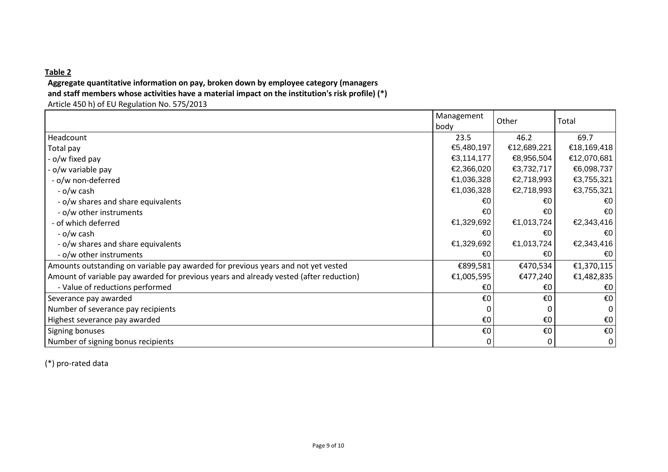## **Table 2**

# **Aggregate quantitative information on pay, broken down by employee category (managersand staff members whose activities have a material impact on the institution's risk profile) (\*)**

Article 450 h) of EU Regulation No. 575/2013

|                                                                                        | Management<br>body | Other       | Total                   |
|----------------------------------------------------------------------------------------|--------------------|-------------|-------------------------|
| Headcount                                                                              | 23.5               | 46.2        | 69.7                    |
| Total pay                                                                              | €5,480,197         | €12,689,221 | €18,169,418             |
| - o/w fixed pay                                                                        | €3,114,177         | €8,956,504  | €12,070,681             |
| - o/w variable pay                                                                     | €2,366,020         | €3,732,717  | €6,098,737              |
| - o/w non-deferred                                                                     | €1,036,328         | €2,718,993  | €3,755,321              |
| - o/w cash                                                                             | €1,036,328         | €2,718,993  | €3,755,321              |
| - o/w shares and share equivalents                                                     | €0                 | €0          | $\epsilon$ <sub>0</sub> |
| - o/w other instruments                                                                | €0                 | €0          | $\epsilon$ <sup>0</sup> |
| - of which deferred                                                                    | €1,329,692         | €1,013,724  | €2,343,416              |
| - o/w cash                                                                             | €0                 | €0          | €0∣                     |
| - o/w shares and share equivalents                                                     | €1,329,692         | €1,013,724  | €2,343,416              |
| - o/w other instruments                                                                | €0                 | €0          | $\epsilon$ <sub>0</sub> |
| Amounts outstanding on variable pay awarded for previous years and not yet vested      | €899,581           | €470,534    | €1,370,115              |
| Amount of variable pay awarded for previous years and already vested (after reduction) | €1,005,595         | €477,240    | €1,482,835              |
| - Value of reductions performed                                                        | €0                 | €0          | €0                      |
| Severance pay awarded                                                                  | €0                 | €0          | $\epsilon$ 0            |
| Number of severance pay recipients                                                     |                    |             | $\Omega$                |
| Highest severance pay awarded                                                          | €0                 | €0          | $\epsilon$ 0            |
| Signing bonuses                                                                        | €0                 | €O          | $\epsilon$ 0            |
| Number of signing bonus recipients                                                     | 0                  | 0           | $\boldsymbol{0}$        |

(\*) pro-rated data